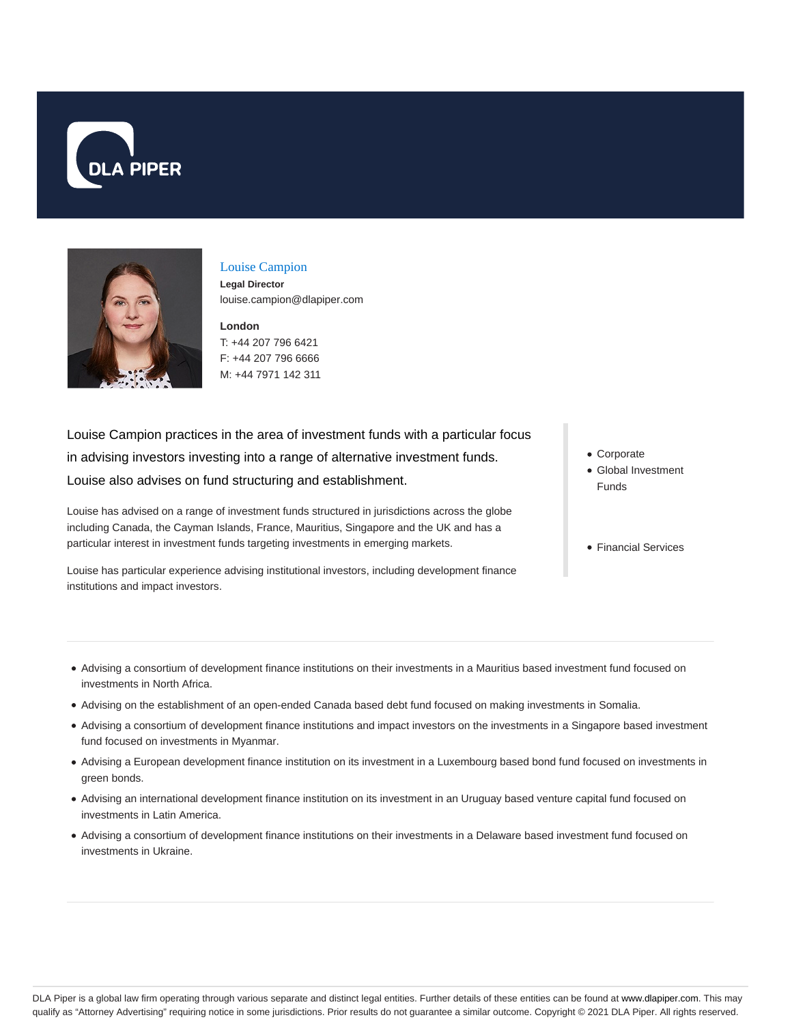



# Louise Campion

**Legal Director** louise.campion@dlapiper.com

**London** T: +44 207 796 6421 F: +44 207 796 6666 M: +44 7971 142 311

Louise Campion practices in the area of investment funds with a particular focus in advising investors investing into a range of alternative investment funds. Louise also advises on fund structuring and establishment.

Louise has advised on a range of investment funds structured in jurisdictions across the globe including Canada, the Cayman Islands, France, Mauritius, Singapore and the UK and has a particular interest in investment funds targeting investments in emerging markets.

Louise has particular experience advising institutional investors, including development finance institutions and impact investors.

- Corporate
- Global Investment Funds
- Financial Services

- Advising a consortium of development finance institutions on their investments in a Mauritius based investment fund focused on investments in North Africa.
- Advising on the establishment of an open-ended Canada based debt fund focused on making investments in Somalia.
- Advising a consortium of development finance institutions and impact investors on the investments in a Singapore based investment fund focused on investments in Myanmar.
- Advising a European development finance institution on its investment in a Luxembourg based bond fund focused on investments in green bonds.
- Advising an international development finance institution on its investment in an Uruguay based venture capital fund focused on investments in Latin America.
- Advising a consortium of development finance institutions on their investments in a Delaware based investment fund focused on investments in Ukraine.